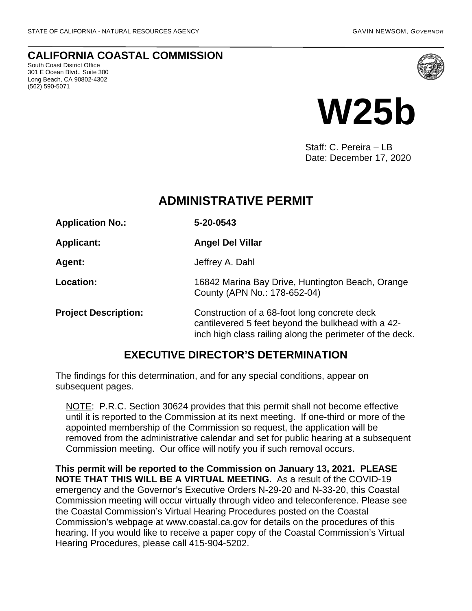### **CALIFORNIA COASTAL COMMISSION**

South Coast District Office 301 E Ocean Blvd., Suite 300 Long Beach, CA 90802-4302 (562) 590-5071





Staff: C. Pereira – LB Date: December 17, 2020

# **ADMINISTRATIVE PERMIT**

| <b>Application No.:</b>     | 5-20-0543                                                                                                                                                      |
|-----------------------------|----------------------------------------------------------------------------------------------------------------------------------------------------------------|
| <b>Applicant:</b>           | <b>Angel Del Villar</b>                                                                                                                                        |
| Agent:                      | Jeffrey A. Dahl                                                                                                                                                |
| <b>Location:</b>            | 16842 Marina Bay Drive, Huntington Beach, Orange<br>County (APN No.: 178-652-04)                                                                               |
| <b>Project Description:</b> | Construction of a 68-foot long concrete deck<br>cantilevered 5 feet beyond the bulkhead with a 42-<br>inch high class railing along the perimeter of the deck. |

## **EXECUTIVE DIRECTOR'S DETERMINATION**

The findings for this determination, and for any special conditions, appear on subsequent pages.

NOTE: P.R.C. Section 30624 provides that this permit shall not become effective until it is reported to the Commission at its next meeting. If one-third or more of the appointed membership of the Commission so request, the application will be removed from the administrative calendar and set for public hearing at a subsequent Commission meeting. Our office will notify you if such removal occurs.

**This permit will be reported to the Commission on January 13, 2021. PLEASE NOTE THAT THIS WILL BE A VIRTUAL MEETING.** As a result of the COVID-19 emergency and the Governor's Executive Orders N-29-20 and N-33-20, this Coastal Commission meeting will occur virtually through video and teleconference. Please see the Coastal Commission's Virtual Hearing Procedures posted on the Coastal Commission's webpage at www.coastal.ca.gov for details on the procedures of this hearing. If you would like to receive a paper copy of the Coastal Commission's Virtual Hearing Procedures, please call 415-904-5202.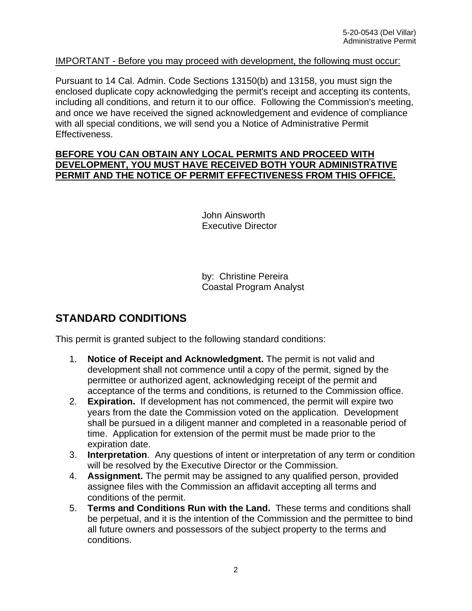#### IMPORTANT - Before you may proceed with development, the following must occur:

Pursuant to 14 Cal. Admin. Code Sections 13150(b) and 13158, you must sign the enclosed duplicate copy acknowledging the permit's receipt and accepting its contents, including all conditions, and return it to our office. Following the Commission's meeting, and once we have received the signed acknowledgement and evidence of compliance with all special conditions, we will send you a Notice of Administrative Permit Effectiveness.

#### **BEFORE YOU CAN OBTAIN ANY LOCAL PERMITS AND PROCEED WITH DEVELOPMENT, YOU MUST HAVE RECEIVED BOTH YOUR ADMINISTRATIVE PERMIT AND THE NOTICE OF PERMIT EFFECTIVENESS FROM THIS OFFICE.**

 John Ainsworth Executive Director

 by: Christine Pereira Coastal Program Analyst

## **STANDARD CONDITIONS**

This permit is granted subject to the following standard conditions:

- 1. **Notice of Receipt and Acknowledgment.** The permit is not valid and development shall not commence until a copy of the permit, signed by the permittee or authorized agent, acknowledging receipt of the permit and acceptance of the terms and conditions, is returned to the Commission office.
- 2. **Expiration.** If development has not commenced, the permit will expire two years from the date the Commission voted on the application. Development shall be pursued in a diligent manner and completed in a reasonable period of time. Application for extension of the permit must be made prior to the expiration date.
- 3. **Interpretation**. Any questions of intent or interpretation of any term or condition will be resolved by the Executive Director or the Commission.
- 4. **Assignment.** The permit may be assigned to any qualified person, provided assignee files with the Commission an affidavit accepting all terms and conditions of the permit.
- 5. **Terms and Conditions Run with the Land.** These terms and conditions shall be perpetual, and it is the intention of the Commission and the permittee to bind all future owners and possessors of the subject property to the terms and conditions.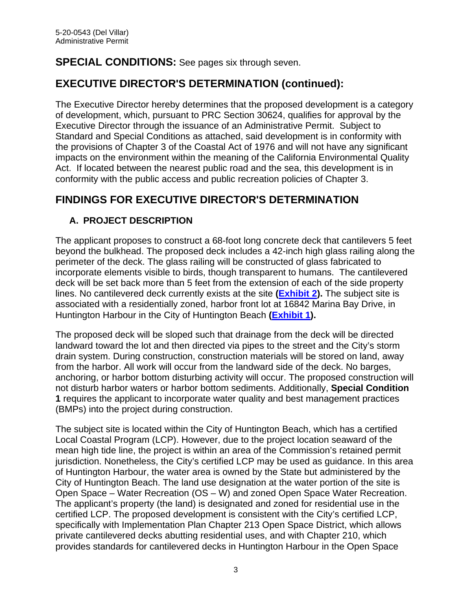## **SPECIAL CONDITIONS:** See pages six through seven.

# **EXECUTIVE DIRECTOR'S DETERMINATION (continued):**

The Executive Director hereby determines that the proposed development is a category of development, which, pursuant to PRC Section 30624, qualifies for approval by the Executive Director through the issuance of an Administrative Permit. Subject to Standard and Special Conditions as attached, said development is in conformity with the provisions of Chapter 3 of the Coastal Act of 1976 and will not have any significant impacts on the environment within the meaning of the California Environmental Quality Act. If located between the nearest public road and the sea, this development is in conformity with the public access and public recreation policies of Chapter 3.

# **FINDINGS FOR EXECUTIVE DIRECTOR'S DETERMINATION**

## **A. PROJECT DESCRIPTION**

The applicant proposes to construct a 68-foot long concrete deck that cantilevers 5 feet beyond the bulkhead. The proposed deck includes a 42-inch high glass railing along the perimeter of the deck. The glass railing will be constructed of glass fabricated to incorporate elements visible to birds, though transparent to humans. The cantilevered deck will be set back more than 5 feet from the extension of each of the side property lines. No cantilevered deck currently exists at the site **[\(Exhibit 2\)](https://documents.coastal.ca.gov/reports/2021/1/w25b/w25b-1-2021-exhibits.pdf).** The subject site is associated with a residentially zoned, harbor front lot at 16842 Marina Bay Drive, in Huntington Harbour in the City of Huntington Beach **[\(Exhibit 1\)](https://documents.coastal.ca.gov/reports/2021/1/w25b/w25b-1-2021-exhibits.pdf).**

The proposed deck will be sloped such that drainage from the deck will be directed landward toward the lot and then directed via pipes to the street and the City's storm drain system. During construction, construction materials will be stored on land, away from the harbor. All work will occur from the landward side of the deck. No barges, anchoring, or harbor bottom disturbing activity will occur. The proposed construction will not disturb harbor waters or harbor bottom sediments. Additionally, **Special Condition 1** requires the applicant to incorporate water quality and best management practices (BMPs) into the project during construction.

The subject site is located within the City of Huntington Beach, which has a certified Local Coastal Program (LCP). However, due to the project location seaward of the mean high tide line, the project is within an area of the Commission's retained permit jurisdiction. Nonetheless, the City's certified LCP may be used as guidance. In this area of Huntington Harbour, the water area is owned by the State but administered by the City of Huntington Beach. The land use designation at the water portion of the site is Open Space – Water Recreation (OS – W) and zoned Open Space Water Recreation. The applicant's property (the land) is designated and zoned for residential use in the certified LCP. The proposed development is consistent with the City's certified LCP, specifically with Implementation Plan Chapter 213 Open Space District, which allows private cantilevered decks abutting residential uses, and with Chapter 210, which provides standards for cantilevered decks in Huntington Harbour in the Open Space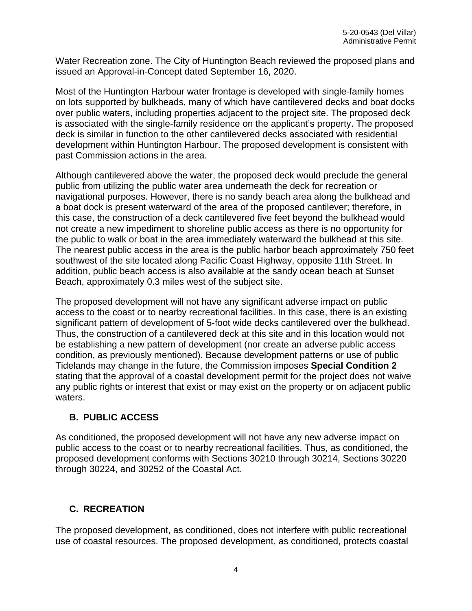Water Recreation zone. The City of Huntington Beach reviewed the proposed plans and issued an Approval-in-Concept dated September 16, 2020.

Most of the Huntington Harbour water frontage is developed with single-family homes on lots supported by bulkheads, many of which have cantilevered decks and boat docks over public waters, including properties adjacent to the project site. The proposed deck is associated with the single-family residence on the applicant's property. The proposed deck is similar in function to the other cantilevered decks associated with residential development within Huntington Harbour. The proposed development is consistent with past Commission actions in the area.

Although cantilevered above the water, the proposed deck would preclude the general public from utilizing the public water area underneath the deck for recreation or navigational purposes. However, there is no sandy beach area along the bulkhead and a boat dock is present waterward of the area of the proposed cantilever; therefore, in this case, the construction of a deck cantilevered five feet beyond the bulkhead would not create a new impediment to shoreline public access as there is no opportunity for the public to walk or boat in the area immediately waterward the bulkhead at this site. The nearest public access in the area is the public harbor beach approximately 750 feet southwest of the site located along Pacific Coast Highway, opposite 11th Street. In addition, public beach access is also available at the sandy ocean beach at Sunset Beach, approximately 0.3 miles west of the subject site.

The proposed development will not have any significant adverse impact on public access to the coast or to nearby recreational facilities. In this case, there is an existing significant pattern of development of 5-foot wide decks cantilevered over the bulkhead. Thus, the construction of a cantilevered deck at this site and in this location would not be establishing a new pattern of development (nor create an adverse public access condition, as previously mentioned). Because development patterns or use of public Tidelands may change in the future, the Commission imposes **Special Condition 2** stating that the approval of a coastal development permit for the project does not waive any public rights or interest that exist or may exist on the property or on adjacent public waters.

### **B. PUBLIC ACCESS**

As conditioned, the proposed development will not have any new adverse impact on public access to the coast or to nearby recreational facilities. Thus, as conditioned, the proposed development conforms with Sections 30210 through 30214, Sections 30220 through 30224, and 30252 of the Coastal Act.

### **C. RECREATION**

The proposed development, as conditioned, does not interfere with public recreational use of coastal resources. The proposed development, as conditioned, protects coastal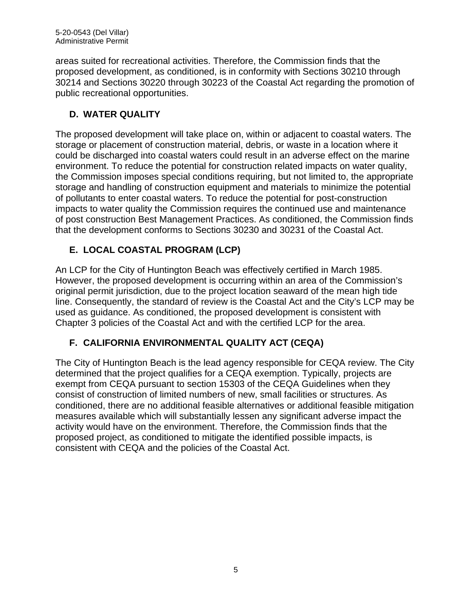areas suited for recreational activities. Therefore, the Commission finds that the proposed development, as conditioned, is in conformity with Sections 30210 through 30214 and Sections 30220 through 30223 of the Coastal Act regarding the promotion of public recreational opportunities.

## **D. WATER QUALITY**

The proposed development will take place on, within or adjacent to coastal waters. The storage or placement of construction material, debris, or waste in a location where it could be discharged into coastal waters could result in an adverse effect on the marine environment. To reduce the potential for construction related impacts on water quality, the Commission imposes special conditions requiring, but not limited to, the appropriate storage and handling of construction equipment and materials to minimize the potential of pollutants to enter coastal waters. To reduce the potential for post-construction impacts to water quality the Commission requires the continued use and maintenance of post construction Best Management Practices. As conditioned, the Commission finds that the development conforms to Sections 30230 and 30231 of the Coastal Act.

## **E. LOCAL COASTAL PROGRAM (LCP)**

An LCP for the City of Huntington Beach was effectively certified in March 1985. However, the proposed development is occurring within an area of the Commission's original permit jurisdiction, due to the project location seaward of the mean high tide line. Consequently, the standard of review is the Coastal Act and the City's LCP may be used as guidance. As conditioned, the proposed development is consistent with Chapter 3 policies of the Coastal Act and with the certified LCP for the area.

## **F. CALIFORNIA ENVIRONMENTAL QUALITY ACT (CEQA)**

The City of Huntington Beach is the lead agency responsible for CEQA review. The City determined that the project qualifies for a CEQA exemption. Typically, projects are exempt from CEQA pursuant to section 15303 of the CEQA Guidelines when they consist of construction of limited numbers of new, small facilities or structures. As conditioned, there are no additional feasible alternatives or additional feasible mitigation measures available which will substantially lessen any significant adverse impact the activity would have on the environment. Therefore, the Commission finds that the proposed project, as conditioned to mitigate the identified possible impacts, is consistent with CEQA and the policies of the Coastal Act.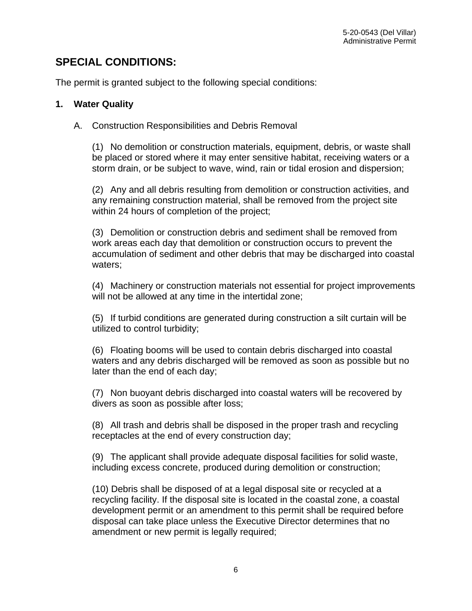## **SPECIAL CONDITIONS:**

The permit is granted subject to the following special conditions:

#### **1. Water Quality**

A. Construction Responsibilities and Debris Removal

(1) No demolition or construction materials, equipment, debris, or waste shall be placed or stored where it may enter sensitive habitat, receiving waters or a storm drain, or be subject to wave, wind, rain or tidal erosion and dispersion;

(2) Any and all debris resulting from demolition or construction activities, and any remaining construction material, shall be removed from the project site within 24 hours of completion of the project;

(3) Demolition or construction debris and sediment shall be removed from work areas each day that demolition or construction occurs to prevent the accumulation of sediment and other debris that may be discharged into coastal waters;

(4) Machinery or construction materials not essential for project improvements will not be allowed at any time in the intertidal zone;

(5) If turbid conditions are generated during construction a silt curtain will be utilized to control turbidity;

(6) Floating booms will be used to contain debris discharged into coastal waters and any debris discharged will be removed as soon as possible but no later than the end of each day;

(7) Non buoyant debris discharged into coastal waters will be recovered by divers as soon as possible after loss;

(8) All trash and debris shall be disposed in the proper trash and recycling receptacles at the end of every construction day;

(9) The applicant shall provide adequate disposal facilities for solid waste, including excess concrete, produced during demolition or construction;

(10) Debris shall be disposed of at a legal disposal site or recycled at a recycling facility. If the disposal site is located in the coastal zone, a coastal development permit or an amendment to this permit shall be required before disposal can take place unless the Executive Director determines that no amendment or new permit is legally required;